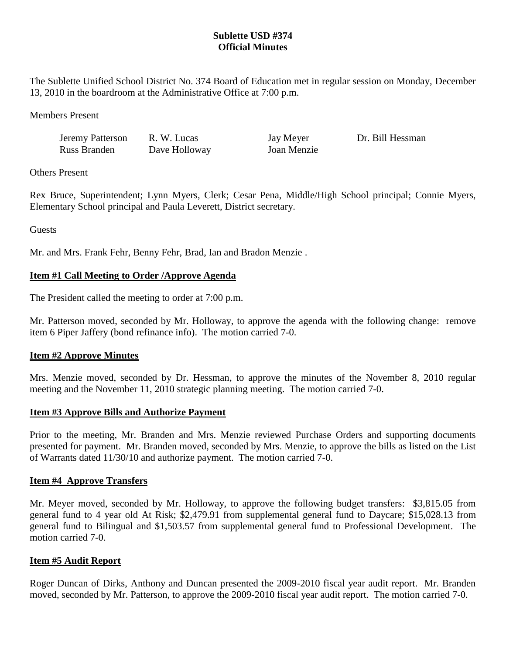# **Sublette USD #374 Official Minutes**

The Sublette Unified School District No. 374 Board of Education met in regular session on Monday, December 13, 2010 in the boardroom at the Administrative Office at 7:00 p.m.

Members Present

Jeremy Patterson R. W. Lucas Jay Meyer Dr. Bill Hessman Russ Branden Dave Holloway Joan Menzie

Others Present

Rex Bruce, Superintendent; Lynn Myers, Clerk; Cesar Pena, Middle/High School principal; Connie Myers, Elementary School principal and Paula Leverett, District secretary.

**Guests** 

Mr. and Mrs. Frank Fehr, Benny Fehr, Brad, Ian and Bradon Menzie .

# **Item #1 Call Meeting to Order /Approve Agenda**

The President called the meeting to order at 7:00 p.m.

Mr. Patterson moved, seconded by Mr. Holloway, to approve the agenda with the following change: remove item 6 Piper Jaffery (bond refinance info). The motion carried 7-0.

## **Item #2 Approve Minutes**

Mrs. Menzie moved, seconded by Dr. Hessman, to approve the minutes of the November 8, 2010 regular meeting and the November 11, 2010 strategic planning meeting. The motion carried 7-0.

## **Item #3 Approve Bills and Authorize Payment**

Prior to the meeting, Mr. Branden and Mrs. Menzie reviewed Purchase Orders and supporting documents presented for payment. Mr. Branden moved, seconded by Mrs. Menzie, to approve the bills as listed on the List of Warrants dated 11/30/10 and authorize payment. The motion carried 7-0.

## **Item #4 Approve Transfers**

Mr. Meyer moved, seconded by Mr. Holloway, to approve the following budget transfers: \$3,815.05 from general fund to 4 year old At Risk; \$2,479.91 from supplemental general fund to Daycare; \$15,028.13 from general fund to Bilingual and \$1,503.57 from supplemental general fund to Professional Development. The motion carried 7-0.

#### **Item #5 Audit Report**

Roger Duncan of Dirks, Anthony and Duncan presented the 2009-2010 fiscal year audit report. Mr. Branden moved, seconded by Mr. Patterson, to approve the 2009-2010 fiscal year audit report. The motion carried 7-0.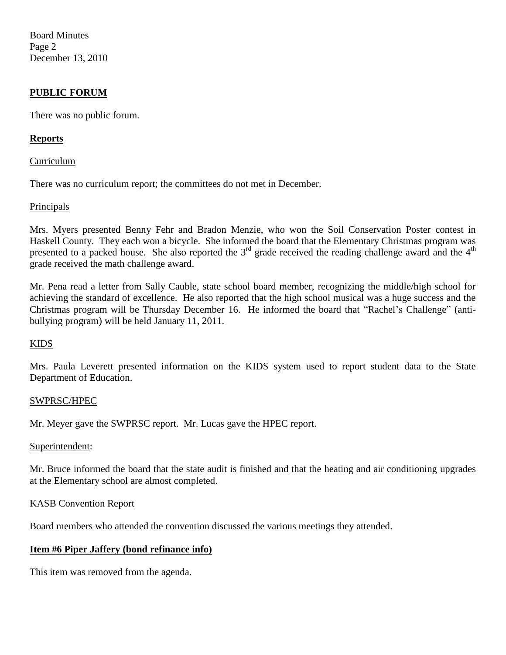Board Minutes Page 2 December 13, 2010

# **PUBLIC FORUM**

There was no public forum.

## **Reports**

#### Curriculum

There was no curriculum report; the committees do not met in December.

### Principals

Mrs. Myers presented Benny Fehr and Bradon Menzie, who won the Soil Conservation Poster contest in Haskell County. They each won a bicycle. She informed the board that the Elementary Christmas program was presented to a packed house. She also reported the  $3<sup>rd</sup>$  grade received the reading challenge award and the  $4<sup>th</sup>$ grade received the math challenge award.

Mr. Pena read a letter from Sally Cauble, state school board member, recognizing the middle/high school for achieving the standard of excellence. He also reported that the high school musical was a huge success and the Christmas program will be Thursday December 16. He informed the board that "Rachel's Challenge" (antibullying program) will be held January 11, 2011.

#### KIDS

Mrs. Paula Leverett presented information on the KIDS system used to report student data to the State Department of Education.

#### SWPRSC/HPEC

Mr. Meyer gave the SWPRSC report. Mr. Lucas gave the HPEC report.

#### Superintendent:

Mr. Bruce informed the board that the state audit is finished and that the heating and air conditioning upgrades at the Elementary school are almost completed.

#### KASB Convention Report

Board members who attended the convention discussed the various meetings they attended.

## **Item #6 Piper Jaffery (bond refinance info)**

This item was removed from the agenda.